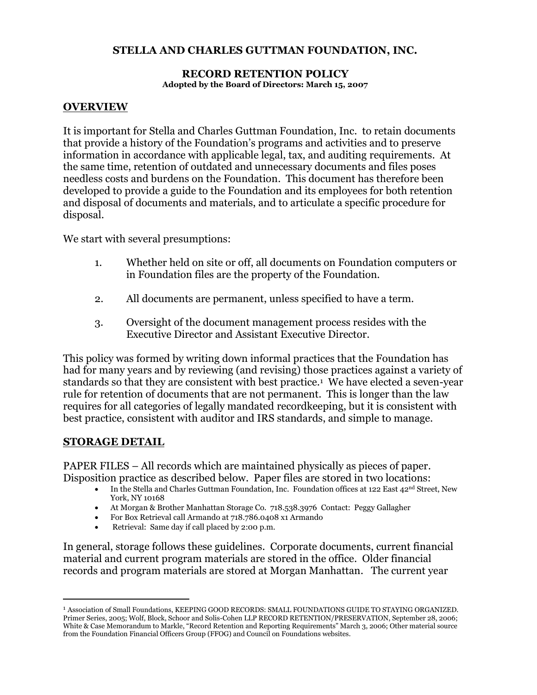#### **STELLA AND CHARLES GUTTMAN FOUNDATION, INC.**

#### **RECORD RETENTION POLICY Adopted by the Board of Directors: March 15, 2007**

#### **OVERVIEW**

It is important for Stella and Charles Guttman Foundation, Inc. to retain documents that provide a history of the Foundation's programs and activities and to preserve information in accordance with applicable legal, tax, and auditing requirements. At the same time, retention of outdated and unnecessary documents and files poses needless costs and burdens on the Foundation. This document has therefore been developed to provide a guide to the Foundation and its employees for both retention and disposal of documents and materials, and to articulate a specific procedure for disposal.

We start with several presumptions:

- 1. Whether held on site or off, all documents on Foundation computers or in Foundation files are the property of the Foundation.
- 2. All documents are permanent, unless specified to have a term.
- 3. Oversight of the document management process resides with the Executive Director and Assistant Executive Director.

This policy was formed by writing down informal practices that the Foundation has had for many years and by reviewing (and revising) those practices against a variety of standards so that they are consistent with best practice.<sup>1</sup> We have elected a seven-year rule for retention of documents that are not permanent. This is longer than the law requires for all categories of legally mandated recordkeeping, but it is consistent with best practice, consistent with auditor and IRS standards, and simple to manage.

#### **STORAGE DETAIL**

 $\overline{a}$ 

PAPER FILES – All records which are maintained physically as pieces of paper. Disposition practice as described below. Paper files are stored in two locations:

- In the Stella and Charles Guttman Foundation, Inc. Foundation offices at 122 East 42nd Street, New York, NY 10168
- At Morgan & Brother Manhattan Storage Co. 718.538.3976 Contact: Peggy Gallagher
- For Box Retrieval call Armando at 718.786.0408 x1 Armando
- Retrieval: Same day if call placed by 2:00 p.m.

In general, storage follows these guidelines. Corporate documents, current financial material and current program materials are stored in the office. Older financial records and program materials are stored at Morgan Manhattan. The current year

<sup>1</sup> Association of Small Foundations, KEEPING GOOD RECORDS: SMALL FOUNDATIONS GUIDE TO STAYING ORGANIZED. Primer Series, 2005; Wolf, Block, Schoor and Solis-Cohen LLP RECORD RETENTION/PRESERVATION, September 28, 2006; White & Case Memorandum to Markle, "Record Retention and Reporting Requirements" March 3, 2006; Other material source from the Foundation Financial Officers Group (FFOG) and Council on Foundations websites.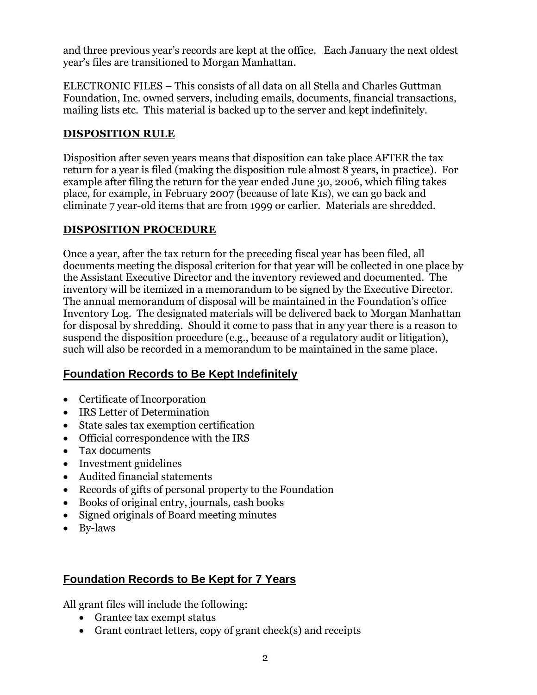and three previous year's records are kept at the office. Each January the next oldest year's files are transitioned to Morgan Manhattan.

ELECTRONIC FILES – This consists of all data on all Stella and Charles Guttman Foundation, Inc. owned servers, including emails, documents, financial transactions, mailing lists etc. This material is backed up to the server and kept indefinitely.

### **DISPOSITION RULE**

Disposition after seven years means that disposition can take place AFTER the tax return for a year is filed (making the disposition rule almost 8 years, in practice). For example after filing the return for the year ended June 30, 2006, which filing takes place, for example, in February 2007 (because of late K1s), we can go back and eliminate 7 year-old items that are from 1999 or earlier. Materials are shredded.

### **DISPOSITION PROCEDURE**

Once a year, after the tax return for the preceding fiscal year has been filed, all documents meeting the disposal criterion for that year will be collected in one place by the Assistant Executive Director and the inventory reviewed and documented. The inventory will be itemized in a memorandum to be signed by the Executive Director. The annual memorandum of disposal will be maintained in the Foundation's office Inventory Log. The designated materials will be delivered back to Morgan Manhattan for disposal by shredding. Should it come to pass that in any year there is a reason to suspend the disposition procedure (e.g., because of a regulatory audit or litigation), such will also be recorded in a memorandum to be maintained in the same place.

## **Foundation Records to Be Kept Indefinitely**

- Certificate of Incorporation
- IRS Letter of Determination
- State sales tax exemption certification
- Official correspondence with the IRS
- Tax documents
- Investment guidelines
- Audited financial statements
- Records of gifts of personal property to the Foundation
- Books of original entry, journals, cash books
- Signed originals of Board meeting minutes
- By-laws

# **Foundation Records to Be Kept for 7 Years**

All grant files will include the following:

- Grantee tax exempt status
- Grant contract letters, copy of grant check(s) and receipts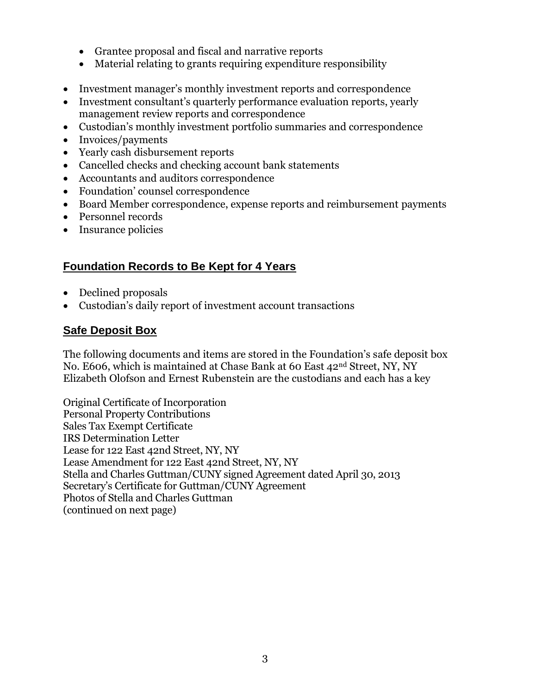- Grantee proposal and fiscal and narrative reports
- Material relating to grants requiring expenditure responsibility
- Investment manager's monthly investment reports and correspondence
- Investment consultant's quarterly performance evaluation reports, yearly management review reports and correspondence
- Custodian's monthly investment portfolio summaries and correspondence
- Invoices/payments
- Yearly cash disbursement reports
- Cancelled checks and checking account bank statements
- Accountants and auditors correspondence
- Foundation' counsel correspondence
- Board Member correspondence, expense reports and reimbursement payments
- Personnel records
- Insurance policies

## **Foundation Records to Be Kept for 4 Years**

- Declined proposals
- Custodian's daily report of investment account transactions

### **Safe Deposit Box**

The following documents and items are stored in the Foundation's safe deposit box No. E606, which is maintained at Chase Bank at 60 East 42nd Street, NY, NY Elizabeth Olofson and Ernest Rubenstein are the custodians and each has a key

Original Certificate of Incorporation Personal Property Contributions Sales Tax Exempt Certificate IRS Determination Letter Lease for 122 East 42nd Street, NY, NY Lease Amendment for 122 East 42nd Street, NY, NY Stella and Charles Guttman/CUNY signed Agreement dated April 30, 2013 Secretary's Certificate for Guttman/CUNY Agreement Photos of Stella and Charles Guttman (continued on next page)